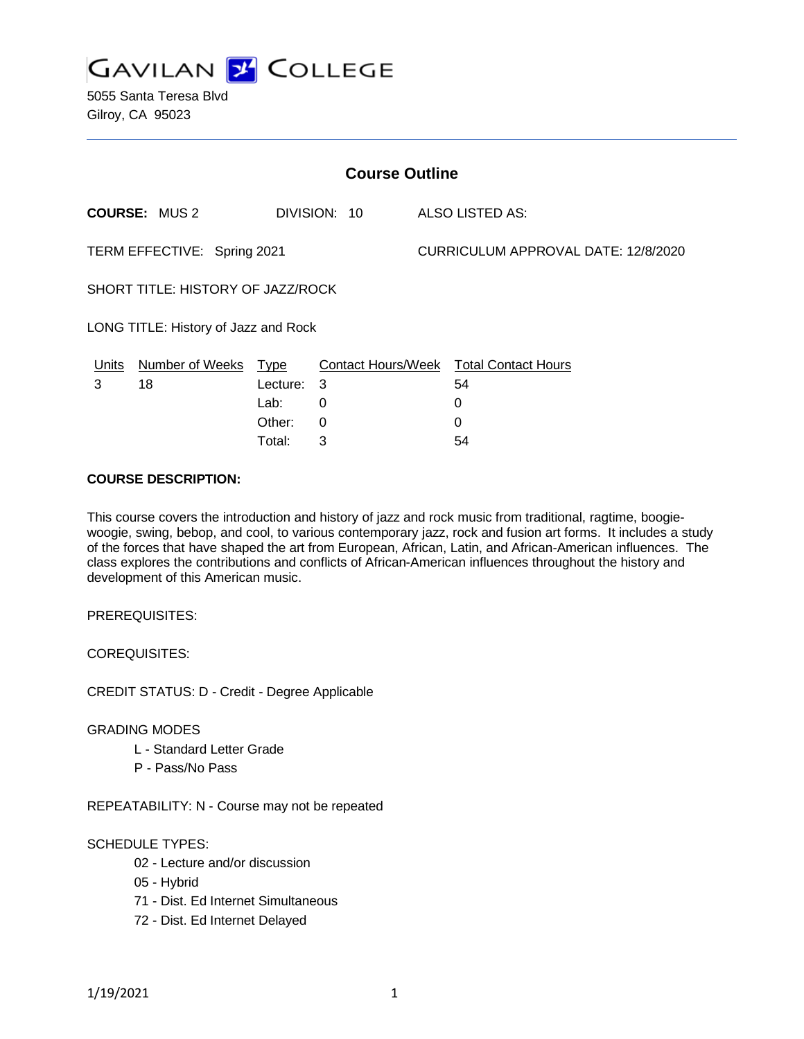

| <b>Course Outline</b>                |                        |             |                           |  |                                     |  |
|--------------------------------------|------------------------|-------------|---------------------------|--|-------------------------------------|--|
|                                      | <b>COURSE: MUS 2</b>   |             | DIVISION: 10              |  | ALSO LISTED AS:                     |  |
| TERM EFFECTIVE: Spring 2021          |                        |             |                           |  | CURRICULUM APPROVAL DATE: 12/8/2020 |  |
| SHORT TITLE: HISTORY OF JAZZ/ROCK    |                        |             |                           |  |                                     |  |
| LONG TITLE: History of Jazz and Rock |                        |             |                           |  |                                     |  |
| Units                                | <b>Number of Weeks</b> | <u>Type</u> | <b>Contact Hours/Week</b> |  | <b>Total Contact Hours</b>          |  |
| 3                                    | 18                     | Lecture: 3  |                           |  | 54                                  |  |
|                                      |                        | Lab:        | 0                         |  | 0                                   |  |
|                                      |                        | Other:      | 0                         |  | 0                                   |  |

Total: 3 54

#### **COURSE DESCRIPTION:**

This course covers the introduction and history of jazz and rock music from traditional, ragtime, boogiewoogie, swing, bebop, and cool, to various contemporary jazz, rock and fusion art forms. It includes a study of the forces that have shaped the art from European, African, Latin, and African-American influences. The class explores the contributions and conflicts of African-American influences throughout the history and development of this American music.

PREREQUISITES:

COREQUISITES:

CREDIT STATUS: D - Credit - Degree Applicable

#### GRADING MODES

- L Standard Letter Grade
- P Pass/No Pass

REPEATABILITY: N - Course may not be repeated

### SCHEDULE TYPES:

- 02 Lecture and/or discussion
- 05 Hybrid
- 71 Dist. Ed Internet Simultaneous
- 72 Dist. Ed Internet Delayed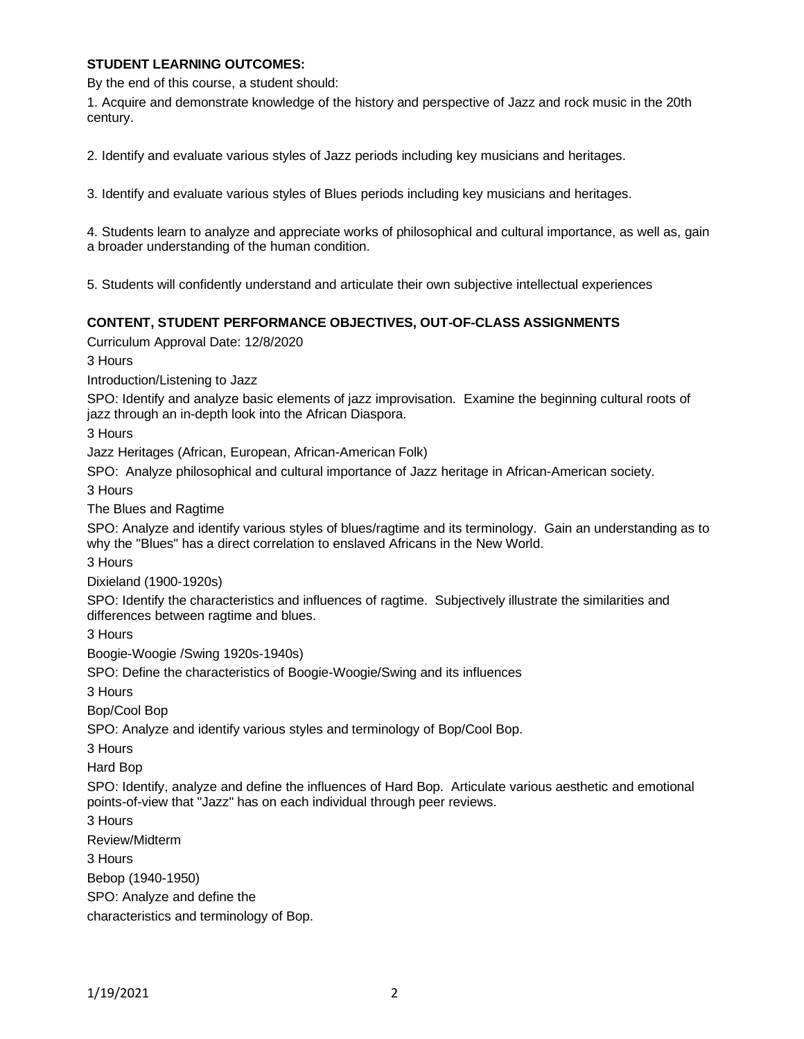### **STUDENT LEARNING OUTCOMES:**

By the end of this course, a student should:

1. Acquire and demonstrate knowledge of the history and perspective of Jazz and rock music in the 20th century.

2. Identify and evaluate various styles of Jazz periods including key musicians and heritages.

3. Identify and evaluate various styles of Blues periods including key musicians and heritages.

4. Students learn to analyze and appreciate works of philosophical and cultural importance, as well as, gain a broader understanding of the human condition.

5. Students will confidently understand and articulate their own subjective intellectual experiences

### **CONTENT, STUDENT PERFORMANCE OBJECTIVES, OUT-OF-CLASS ASSIGNMENTS**

Curriculum Approval Date: 12/8/2020

3 Hours

Introduction/Listening to Jazz

SPO: Identify and analyze basic elements of jazz improvisation. Examine the beginning cultural roots of jazz through an in-depth look into the African Diaspora.

3 Hours

Jazz Heritages (African, European, African-American Folk)

SPO: Analyze philosophical and cultural importance of Jazz heritage in African-American society.

3 Hours

The Blues and Ragtime

SPO: Analyze and identify various styles of blues/ragtime and its terminology. Gain an understanding as to why the "Blues" has a direct correlation to enslaved Africans in the New World.

3 Hours

Dixieland (1900-1920s)

SPO: Identify the characteristics and influences of ragtime. Subjectively illustrate the similarities and differences between ragtime and blues.

3 Hours

Boogie-Woogie /Swing 1920s-1940s)

SPO: Define the characteristics of Boogie-Woogie/Swing and its influences

3 Hours

Bop/Cool Bop

SPO: Analyze and identify various styles and terminology of Bop/Cool Bop.

3 Hours

Hard Bop

SPO: Identify, analyze and define the influences of Hard Bop. Articulate various aesthetic and emotional points-of-view that "Jazz" has on each individual through peer reviews.

3 Hours

Review/Midterm

3 Hours

Bebop (1940-1950)

SPO: Analyze and define the

characteristics and terminology of Bop.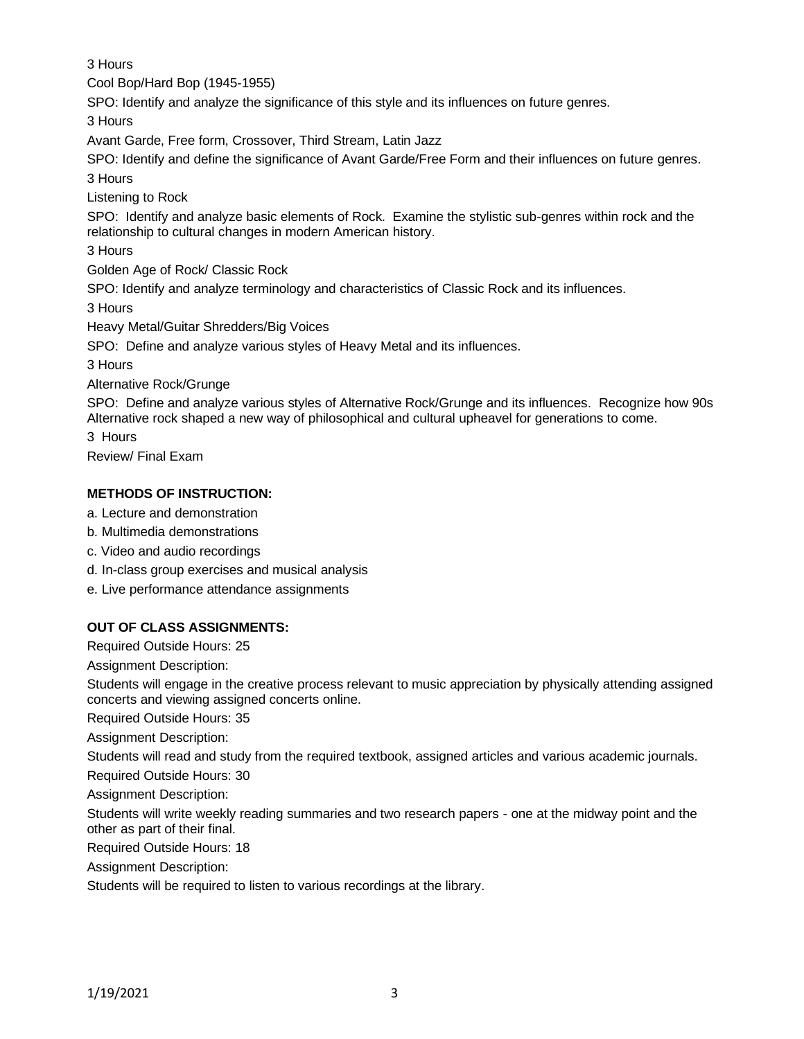3 Hours

Cool Bop/Hard Bop (1945-1955)

SPO: Identify and analyze the significance of this style and its influences on future genres.

3 Hours

Avant Garde, Free form, Crossover, Third Stream, Latin Jazz

SPO: Identify and define the significance of Avant Garde/Free Form and their influences on future genres. 3 Hours

Listening to Rock

SPO: Identify and analyze basic elements of Rock. Examine the stylistic sub-genres within rock and the relationship to cultural changes in modern American history.

3 Hours

Golden Age of Rock/ Classic Rock

SPO: Identify and analyze terminology and characteristics of Classic Rock and its influences.

3 Hours

Heavy Metal/Guitar Shredders/Big Voices

SPO: Define and analyze various styles of Heavy Metal and its influences.

3 Hours

Alternative Rock/Grunge

SPO: Define and analyze various styles of Alternative Rock/Grunge and its influences. Recognize how 90s Alternative rock shaped a new way of philosophical and cultural upheavel for generations to come.

3 Hours

Review/ Final Exam

# **METHODS OF INSTRUCTION:**

- a. Lecture and demonstration
- b. Multimedia demonstrations
- c. Video and audio recordings
- d. In-class group exercises and musical analysis
- e. Live performance attendance assignments

# **OUT OF CLASS ASSIGNMENTS:**

Required Outside Hours: 25

Assignment Description:

Students will engage in the creative process relevant to music appreciation by physically attending assigned concerts and viewing assigned concerts online.

Required Outside Hours: 35

Assignment Description:

Students will read and study from the required textbook, assigned articles and various academic journals.

Required Outside Hours: 30

Assignment Description:

Students will write weekly reading summaries and two research papers - one at the midway point and the other as part of their final.

Required Outside Hours: 18

Assignment Description:

Students will be required to listen to various recordings at the library.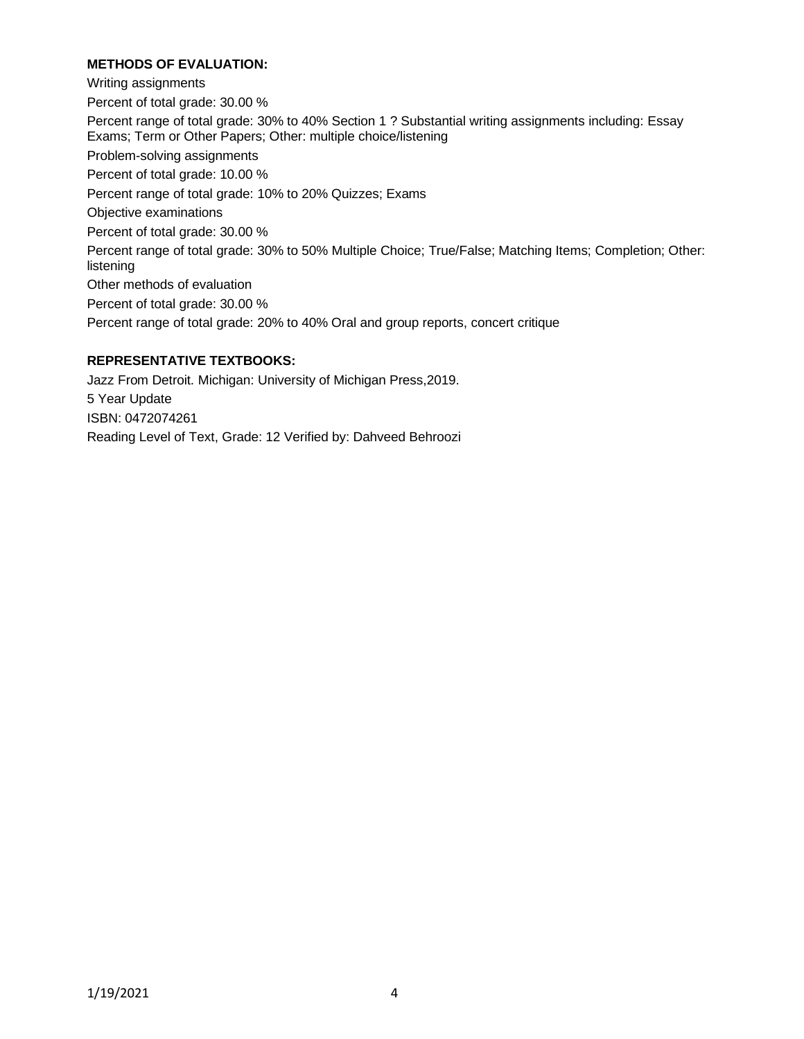## **METHODS OF EVALUATION:**

Writing assignments Percent of total grade: 30.00 % Percent range of total grade: 30% to 40% Section 1 ? Substantial writing assignments including: Essay Exams; Term or Other Papers; Other: multiple choice/listening Problem-solving assignments Percent of total grade: 10.00 % Percent range of total grade: 10% to 20% Quizzes; Exams Objective examinations Percent of total grade: 30.00 % Percent range of total grade: 30% to 50% Multiple Choice; True/False; Matching Items; Completion; Other: listening Other methods of evaluation Percent of total grade: 30.00 % Percent range of total grade: 20% to 40% Oral and group reports, concert critique

## **REPRESENTATIVE TEXTBOOKS:**

Jazz From Detroit. Michigan: University of Michigan Press,2019. 5 Year Update ISBN: 0472074261 Reading Level of Text, Grade: 12 Verified by: Dahveed Behroozi